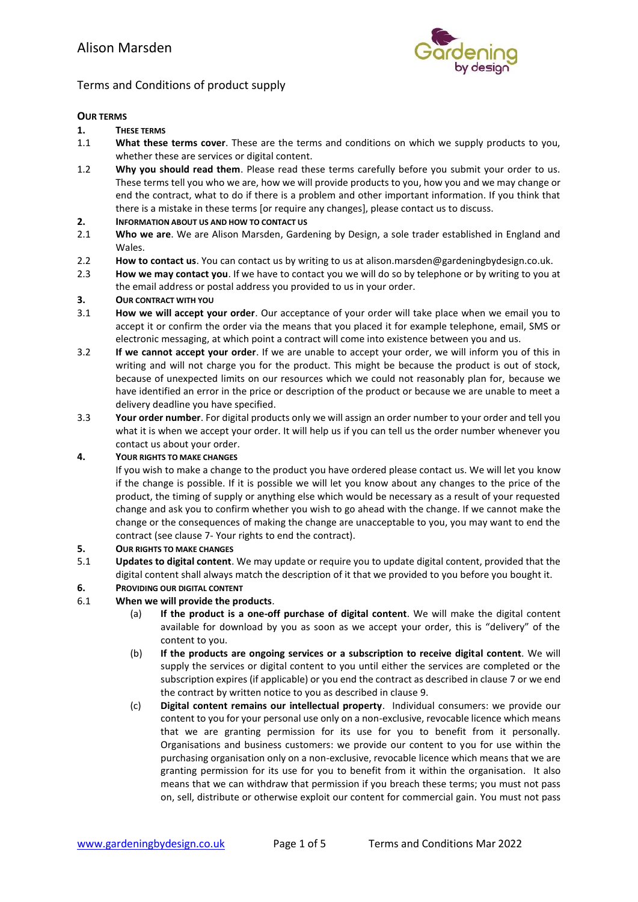

# Terms and Conditions of product supply

#### **OUR TERMS**

- **1. THESE TERMS**
- 1.1 **What these terms cover**. These are the terms and conditions on which we supply products to you, whether these are services or digital content.
- 1.2 **Why you should read them**. Please read these terms carefully before you submit your order to us. These terms tell you who we are, how we will provide products to you, how you and we may change or end the contract, what to do if there is a problem and other important information. If you think that there is a mistake in these terms [or require any changes], please contact us to discuss.
- **2. INFORMATION ABOUT US AND HOW TO CONTACT US**
- 2.1 **Who we are**. We are Alison Marsden, Gardening by Design, a sole trader established in England and Wales.
- 2.2 **How to contact us**. You can contact us by writing to us at alison.marsden@gardeningbydesign.co.uk.
- 2.3 **How we may contact you**. If we have to contact you we will do so by telephone or by writing to you at the email address or postal address you provided to us in your order.

# **3. OUR CONTRACT WITH YOU**<br>**3.1 How we will accept you**

- 3.1 **How we will accept your order**. Our acceptance of your order will take place when we email you to accept it or confirm the order via the means that you placed it for example telephone, email, SMS or electronic messaging, at which point a contract will come into existence between you and us.
- 3.2 **If we cannot accept your order**. If we are unable to accept your order, we will inform you of this in writing and will not charge you for the product. This might be because the product is out of stock, because of unexpected limits on our resources which we could not reasonably plan for, because we have identified an error in the price or description of the product or because we are unable to meet a delivery deadline you have specified.
- 3.3 **Your order number**. For digital products only we will assign an order number to your order and tell you what it is when we accept your order. It will help us if you can tell us the order number whenever you contact us about your order.

#### **4. YOUR RIGHTS TO MAKE CHANGES**

If you wish to make a change to the product you have ordered please contact us. We will let you know if the change is possible. If it is possible we will let you know about any changes to the price of the product, the timing of supply or anything else which would be necessary as a result of your requested change and ask you to confirm whether you wish to go ahead with the change. If we cannot make the change or the consequences of making the change are unacceptable to you, you may want to end the contract (see clause [7-](#page-1-0) Your rights to end the contract).

#### **5. OUR RIGHTS TO MAKE CHANGES**

- 5.1 **Updates to digital content**. We may update or require you to update digital content, provided that the digital content shall always match the description of it that we provided to you before you bought it.
- **6. PROVIDING OUR DIGITAL CONTENT**

## 6.1 **When we will provide the products**.

- (a) **If the product is a one-off purchase of digital content**. We will make the digital content available for download by you as soon as we accept your order, this is "delivery" of the content to you.
- (b) **If the products are ongoing services or a subscription to receive digital content**. We will supply the services or digital content to you until either the services are completed or the subscription expires (if applicable) or you end the contract as described in clause [7](#page-1-0) or we end the contract by written notice to you as described in clause 9.
- (c) **Digital content remains our intellectual property**. Individual consumers: we provide our content to you for your personal use only on a non-exclusive, revocable licence which means that we are granting permission for its use for you to benefit from it personally. Organisations and business customers: we provide our content to you for use within the purchasing organisation only on a non-exclusive, revocable licence which means that we are granting permission for its use for you to benefit from it within the organisation. It also means that we can withdraw that permission if you breach these terms; you must not pass on, sell, distribute or otherwise exploit our content for commercial gain. You must not pass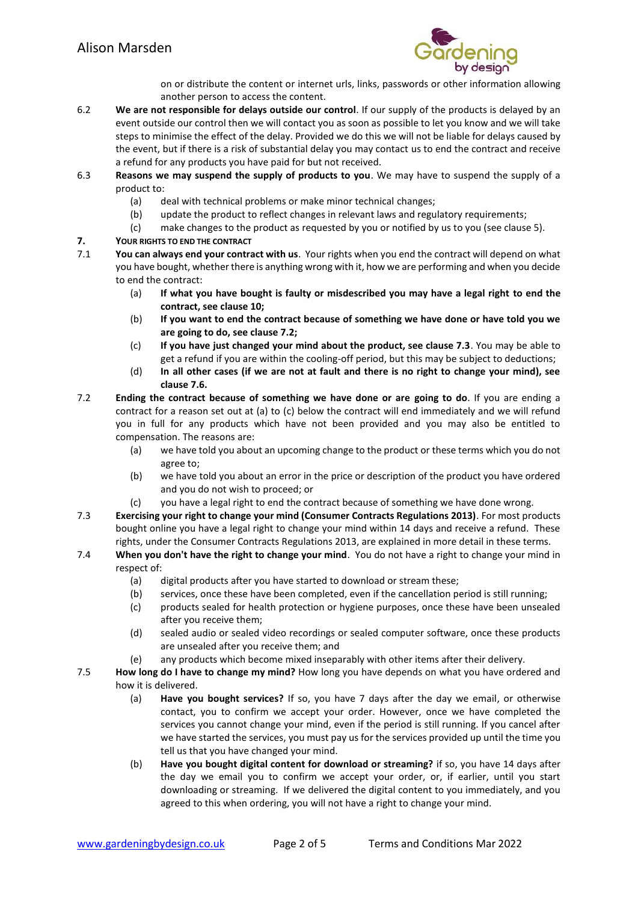

on or distribute the content or internet urls, links, passwords or other information allowing another person to access the content.

- 6.2 **We are not responsible for delays outside our control**. If our supply of the products is delayed by an event outside our control then we will contact you as soon as possible to let you know and we will take steps to minimise the effect of the delay. Provided we do this we will not be liable for delays caused by the event, but if there is a risk of substantial delay you may contact us to end the contract and receive a refund for any products you have paid for but not received.
- 6.3 **Reasons we may suspend the supply of products to you**. We may have to suspend the supply of a product to:
	- (a) deal with technical problems or make minor technical changes;
	- (b) update the product to reflect changes in relevant laws and regulatory requirements;
	- (c) make changes to the product as requested by you or notified by us to you (see clause 5).
- <span id="page-1-0"></span>**7. YOUR RIGHTS TO END THE CONTRACT**
- You can always end your contract with us. Your rights when you end the contract will depend on what you have bought, whether there is anything wrong with it, how we are performing and when you decide to end the contract:
	- (a) **If what you have bought is faulty or misdescribed you may have a legal right to end the contract, see clause 10;**
	- (b) **If you want to end the contract because of something we have done or have told you we are going to do, see clause 7.2;**
	- (c) **If you have just changed your mind about the product, see clause 7.3**. You may be able to get a refund if you are within the cooling-off period, but this may be subject to deductions;
	- (d) **In all other cases (if we are not at fault and there is no right to change your mind), see clause 7.6.**
- 7.2 **Ending the contract because of something we have done or are going to do**. If you are ending a contract for a reason set out at (a) to (c) below the contract will end immediately and we will refund you in full for any products which have not been provided and you may also be entitled to compensation. The reasons are:
	- (a) we have told you about an upcoming change to the product or these terms which you do not agree to;
	- (b) we have told you about an error in the price or description of the product you have ordered and you do not wish to proceed; or
	- (c) you have a legal right to end the contract because of something we have done wrong.
- 7.3 **Exercising your right to change your mind (Consumer Contracts Regulations 2013)**. For most products bought online you have a legal right to change your mind within 14 days and receive a refund. These rights, under the Consumer Contracts Regulations 2013, are explained in more detail in these terms.
- 7.4 **When you don't have the right to change your mind**. You do not have a right to change your mind in respect of:
	- (a) digital products after you have started to download or stream these;
	- (b) services, once these have been completed, even if the cancellation period is still running;
	- (c) products sealed for health protection or hygiene purposes, once these have been unsealed after you receive them;
	- (d) sealed audio or sealed video recordings or sealed computer software, once these products are unsealed after you receive them; and
	- (e) any products which become mixed inseparably with other items after their delivery.
- 7.5 **How long do I have to change my mind?** How long you have depends on what you have ordered and how it is delivered.
	- (a) **Have you bought services?** If so, you have 7 days after the day we email, or otherwise contact, you to confirm we accept your order. However, once we have completed the services you cannot change your mind, even if the period is still running. If you cancel after we have started the services, you must pay us for the services provided up until the time you tell us that you have changed your mind.
	- (b) **Have you bought digital content for download or streaming?** if so, you have 14 days after the day we email you to confirm we accept your order, or, if earlier, until you start downloading or streaming. If we delivered the digital content to you immediately, and you agreed to this when ordering, you will not have a right to change your mind.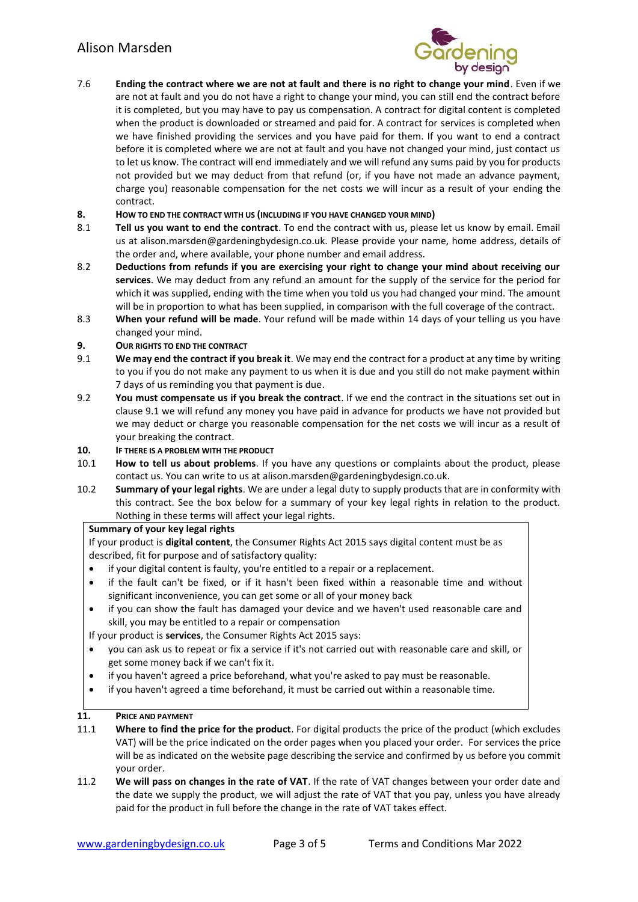# Alison Marsden



- 7.6 **Ending the contract where we are not at fault and there is no right to change your mind**. Even if we are not at fault and you do not have a right to change your mind, you can still end the contract before it is completed, but you may have to pay us compensation. A contract for digital content is completed when the product is downloaded or streamed and paid for. A contract for services is completed when we have finished providing the services and you have paid for them. If you want to end a contract before it is completed where we are not at fault and you have not changed your mind, just contact us to let us know. The contract will end immediately and we will refund any sums paid by you for products not provided but we may deduct from that refund (or, if you have not made an advance payment, charge you) reasonable compensation for the net costs we will incur as a result of your ending the contract.
- **8. HOW TO END THE CONTRACT WITH US (INCLUDING IF YOU HAVE CHANGED YOUR MIND)**
- 8.1 **Tell us you want to end the contract**. To end the contract with us, please let us know by email. Email us at alison.marsden@gardeningbydesign.co.uk. Please provide your name, home address, details of the order and, where available, your phone number and email address.
- 8.2 **Deductions from refunds if you are exercising your right to change your mind about receiving our services**. We may deduct from any refund an amount for the supply of the service for the period for which it was supplied, ending with the time when you told us you had changed your mind. The amount will be in proportion to what has been supplied, in comparison with the full coverage of the contract.
- 8.3 **When your refund will be made**. Your refund will be made within 14 days of your telling us you have changed your mind.
- **9. OUR RIGHTS TO END THE CONTRACT**
- 9.1 **We may end the contract if you break it**. We may end the contract for a product at any time by writing to you if you do not make any payment to us when it is due and you still do not make payment within 7 days of us reminding you that payment is due.
- 9.2 **You must compensate us if you break the contract**. If we end the contract in the situations set out in clause 9.1 we will refund any money you have paid in advance for products we have not provided but we may deduct or charge you reasonable compensation for the net costs we will incur as a result of your breaking the contract.

#### **10. IF THERE IS A PROBLEM WITH THE PRODUCT**

- 10.1 **How to tell us about problems**. If you have any questions or complaints about the product, please contact us. You can write to us at alison.marsden@gardeningbydesign.co.uk.
- 10.2 **Summary of your legal rights**. We are under a legal duty to supply products that are in conformity with this contract. See the box below for a summary of your key legal rights in relation to the product. Nothing in these terms will affect your legal rights.

#### **Summary of your key legal rights**

If your product is **digital content**, the Consumer Rights Act 2015 says digital content must be as described, fit for purpose and of satisfactory quality:

- if your digital content is faulty, you're entitled to a repair or a replacement.
- if the fault can't be fixed, or if it hasn't been fixed within a reasonable time and without significant inconvenience, you can get some or all of your money back
- if you can show the fault has damaged your device and we haven't used reasonable care and skill, you may be entitled to a repair or compensation

If your product is **services**, the Consumer Rights Act 2015 says:

- you can ask us to repeat or fix a service if it's not carried out with reasonable care and skill, or get some money back if we can't fix it.
- if you haven't agreed a price beforehand, what you're asked to pay must be reasonable.
- if you haven't agreed a time beforehand, it must be carried out within a reasonable time.

#### **11. PRICE AND PAYMENT**

- 11.1 **Where to find the price for the product**. For digital products the price of the product (which excludes VAT) will be the price indicated on the order pages when you placed your order. For services the price will be as indicated on the website page describing the service and confirmed by us before you commit your order.
- 11.2 **We will pass on changes in the rate of VAT**. If the rate of VAT changes between your order date and the date we supply the product, we will adjust the rate of VAT that you pay, unless you have already paid for the product in full before the change in the rate of VAT takes effect.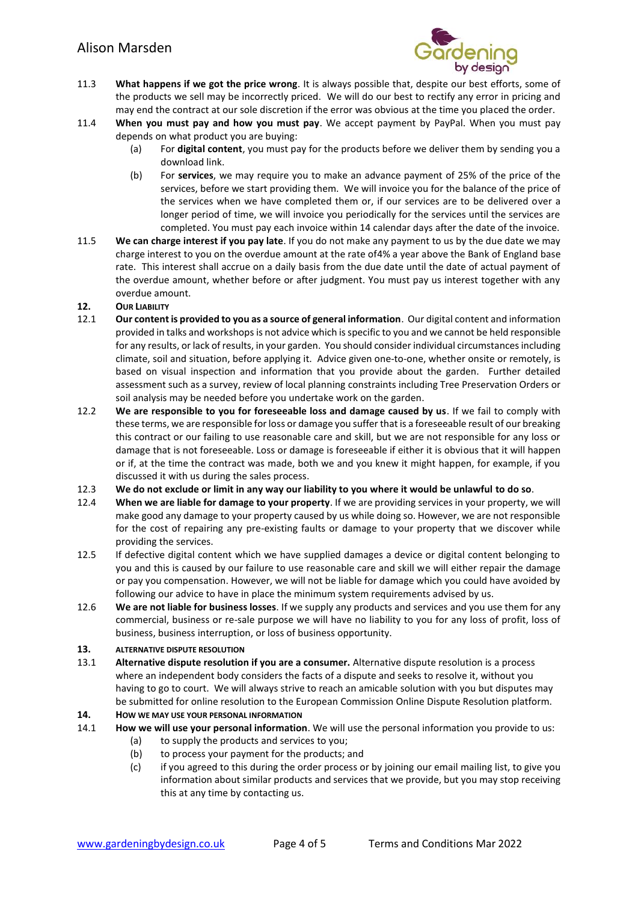

- 11.3 **What happens if we got the price wrong**. It is always possible that, despite our best efforts, some of the products we sell may be incorrectly priced. We will do our best to rectify any error in pricing and may end the contract at our sole discretion if the error was obvious at the time you placed the order.
- 11.4 **When you must pay and how you must pay**. We accept payment by PayPal. When you must pay depends on what product you are buying:
	- (a) For **digital content**, you must pay for the products before we deliver them by sending you a download link.
	- (b) For **services**, we may require you to make an advance payment of 25% of the price of the services, before we start providing them. We will invoice you for the balance of the price of the services when we have completed them or, if our services are to be delivered over a longer period of time, we will invoice you periodically for the services until the services are completed. You must pay each invoice within 14 calendar days after the date of the invoice.
- 11.5 **We can charge interest if you pay late**. If you do not make any payment to us by the due date we may charge interest to you on the overdue amount at the rate of4% a year above the Bank of England base rate. This interest shall accrue on a daily basis from the due date until the date of actual payment of the overdue amount, whether before or after judgment. You must pay us interest together with any overdue amount.

#### **12. OUR LIABILITY**

- 12.1 **Our content is provided to you as a source of general information**. Our digital content and information provided in talks and workshops is not advice which is specific to you and we cannot be held responsible for any results, or lack of results, in your garden. You should consider individual circumstances including climate, soil and situation, before applying it. Advice given one-to-one, whether onsite or remotely, is based on visual inspection and information that you provide about the garden. Further detailed assessment such as a survey, review of local planning constraints including Tree Preservation Orders or soil analysis may be needed before you undertake work on the garden.
- 12.2 **We are responsible to you for foreseeable loss and damage caused by us**. If we fail to comply with these terms, we are responsible for loss or damage you suffer that is a foreseeable result of our breaking this contract or our failing to use reasonable care and skill, but we are not responsible for any loss or damage that is not foreseeable. Loss or damage is foreseeable if either it is obvious that it will happen or if, at the time the contract was made, both we and you knew it might happen, for example, if you discussed it with us during the sales process.
- 12.3 **We do not exclude or limit in any way our liability to you where it would be unlawful to do so**.
- 12.4 **When we are liable for damage to your property**. If we are providing services in your property, we will make good any damage to your property caused by us while doing so. However, we are not responsible for the cost of repairing any pre-existing faults or damage to your property that we discover while providing the services.
- 12.5 If defective digital content which we have supplied damages a device or digital content belonging to you and this is caused by our failure to use reasonable care and skill we will either repair the damage or pay you compensation. However, we will not be liable for damage which you could have avoided by following our advice to have in place the minimum system requirements advised by us.
- 12.6 **We are not liable for business losses**. If we supply any products and services and you use them for any commercial, business or re-sale purpose we will have no liability to you for any loss of profit, loss of business, business interruption, or loss of business opportunity.

#### **13. ALTERNATIVE DISPUTE RESOLUTION**

13.1 **Alternative dispute resolution if you are a consumer.** Alternative dispute resolution is a process where an independent body considers the facts of a dispute and seeks to resolve it, without you having to go to court. We will always strive to reach an amicable solution with you but disputes may be submitted for online resolution to the European Commission Online Dispute Resolution platform.

## **14. HOW WE MAY USE YOUR PERSONAL INFORMATION**

- 14.1 **How we will use your personal information**. We will use the personal information you provide to us:
	- (a) to supply the products and services to you;
	- (b) to process your payment for the products; and
	- (c) if you agreed to this during the order process or by joining our email mailing list, to give you information about similar products and services that we provide, but you may stop receiving this at any time by contacting us.